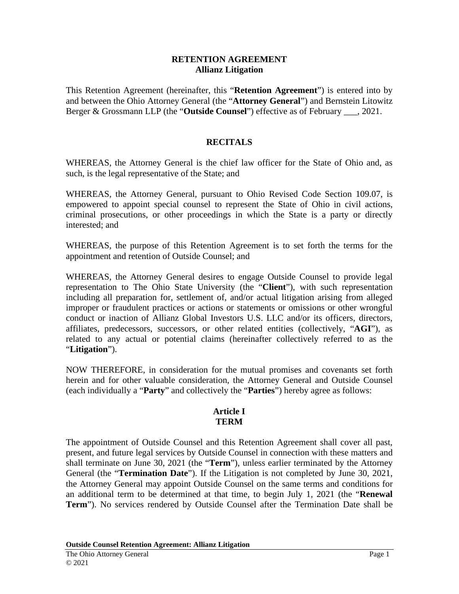#### **RETENTION AGREEMENT Allianz Litigation**

This Retention Agreement (hereinafter, this "**Retention Agreement**") is entered into by and between the Ohio Attorney General (the "**Attorney General**") and Bernstein Litowitz Berger & Grossmann LLP (the "**Outside Counsel**") effective as of February \_\_\_, 2021.

### **RECITALS**

WHEREAS, the Attorney General is the chief law officer for the State of Ohio and, as such, is the legal representative of the State; and

WHEREAS, the Attorney General, pursuant to Ohio Revised Code Section 109.07, is empowered to appoint special counsel to represent the State of Ohio in civil actions, criminal prosecutions, or other proceedings in which the State is a party or directly interested; and

WHEREAS, the purpose of this Retention Agreement is to set forth the terms for the appointment and retention of Outside Counsel; and

WHEREAS, the Attorney General desires to engage Outside Counsel to provide legal representation to The Ohio State University (the "**Client**"), with such representation including all preparation for, settlement of, and/or actual litigation arising from alleged improper or fraudulent practices or actions or statements or omissions or other wrongful conduct or inaction of Allianz Global Investors U.S. LLC and/or its officers, directors, affiliates, predecessors, successors, or other related entities (collectively, "**AGI**"), as related to any actual or potential claims (hereinafter collectively referred to as the "**Litigation**").

NOW THEREFORE, in consideration for the mutual promises and covenants set forth herein and for other valuable consideration, the Attorney General and Outside Counsel (each individually a "**Party**" and collectively the "**Parties**") hereby agree as follows:

### **Article I TERM**

The appointment of Outside Counsel and this Retention Agreement shall cover all past, present, and future legal services by Outside Counsel in connection with these matters and shall terminate on June 30, 2021 (the "**Term**"), unless earlier terminated by the Attorney General (the "**Termination Date**"). If the Litigation is not completed by June 30, 2021, the Attorney General may appoint Outside Counsel on the same terms and conditions for an additional term to be determined at that time, to begin July 1, 2021 (the "**Renewal Term**"). No services rendered by Outside Counsel after the Termination Date shall be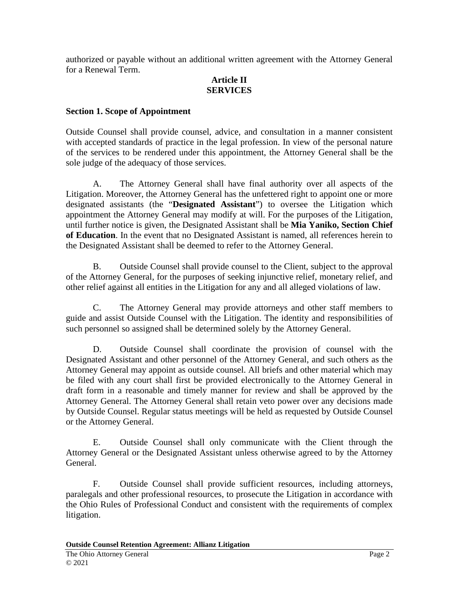authorized or payable without an additional written agreement with the Attorney General for a Renewal Term.

## **Article II SERVICES**

### **Section 1. Scope of Appointment**

Outside Counsel shall provide counsel, advice, and consultation in a manner consistent with accepted standards of practice in the legal profession. In view of the personal nature of the services to be rendered under this appointment, the Attorney General shall be the sole judge of the adequacy of those services.

A. The Attorney General shall have final authority over all aspects of the Litigation. Moreover, the Attorney General has the unfettered right to appoint one or more designated assistants (the "**Designated Assistant**") to oversee the Litigation which appointment the Attorney General may modify at will. For the purposes of the Litigation, until further notice is given, the Designated Assistant shall be **Mia Yaniko, Section Chief of Education**. In the event that no Designated Assistant is named, all references herein to the Designated Assistant shall be deemed to refer to the Attorney General.

B. Outside Counsel shall provide counsel to the Client, subject to the approval of the Attorney General, for the purposes of seeking injunctive relief, monetary relief, and other relief against all entities in the Litigation for any and all alleged violations of law.

C. The Attorney General may provide attorneys and other staff members to guide and assist Outside Counsel with the Litigation. The identity and responsibilities of such personnel so assigned shall be determined solely by the Attorney General.

D. Outside Counsel shall coordinate the provision of counsel with the Designated Assistant and other personnel of the Attorney General, and such others as the Attorney General may appoint as outside counsel. All briefs and other material which may be filed with any court shall first be provided electronically to the Attorney General in draft form in a reasonable and timely manner for review and shall be approved by the Attorney General. The Attorney General shall retain veto power over any decisions made by Outside Counsel. Regular status meetings will be held as requested by Outside Counsel or the Attorney General.

E. Outside Counsel shall only communicate with the Client through the Attorney General or the Designated Assistant unless otherwise agreed to by the Attorney General.

F. Outside Counsel shall provide sufficient resources, including attorneys, paralegals and other professional resources, to prosecute the Litigation in accordance with the Ohio Rules of Professional Conduct and consistent with the requirements of complex litigation.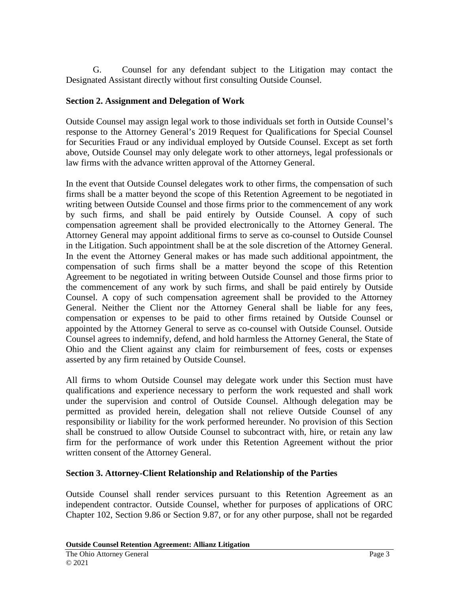G. Counsel for any defendant subject to the Litigation may contact the Designated Assistant directly without first consulting Outside Counsel.

# **Section 2. Assignment and Delegation of Work**

Outside Counsel may assign legal work to those individuals set forth in Outside Counsel's response to the Attorney General's 2019 Request for Qualifications for Special Counsel for Securities Fraud or any individual employed by Outside Counsel. Except as set forth above, Outside Counsel may only delegate work to other attorneys, legal professionals or law firms with the advance written approval of the Attorney General.

In the event that Outside Counsel delegates work to other firms, the compensation of such firms shall be a matter beyond the scope of this Retention Agreement to be negotiated in writing between Outside Counsel and those firms prior to the commencement of any work by such firms, and shall be paid entirely by Outside Counsel. A copy of such compensation agreement shall be provided electronically to the Attorney General. The Attorney General may appoint additional firms to serve as co-counsel to Outside Counsel in the Litigation. Such appointment shall be at the sole discretion of the Attorney General. In the event the Attorney General makes or has made such additional appointment, the compensation of such firms shall be a matter beyond the scope of this Retention Agreement to be negotiated in writing between Outside Counsel and those firms prior to the commencement of any work by such firms, and shall be paid entirely by Outside Counsel. A copy of such compensation agreement shall be provided to the Attorney General. Neither the Client nor the Attorney General shall be liable for any fees, compensation or expenses to be paid to other firms retained by Outside Counsel or appointed by the Attorney General to serve as co-counsel with Outside Counsel. Outside Counsel agrees to indemnify, defend, and hold harmless the Attorney General, the State of Ohio and the Client against any claim for reimbursement of fees, costs or expenses asserted by any firm retained by Outside Counsel.

All firms to whom Outside Counsel may delegate work under this Section must have qualifications and experience necessary to perform the work requested and shall work under the supervision and control of Outside Counsel. Although delegation may be permitted as provided herein, delegation shall not relieve Outside Counsel of any responsibility or liability for the work performed hereunder. No provision of this Section shall be construed to allow Outside Counsel to subcontract with, hire, or retain any law firm for the performance of work under this Retention Agreement without the prior written consent of the Attorney General.

# **Section 3. Attorney-Client Relationship and Relationship of the Parties**

Outside Counsel shall render services pursuant to this Retention Agreement as an independent contractor. Outside Counsel, whether for purposes of applications of ORC Chapter 102, Section 9.86 or Section 9.87, or for any other purpose, shall not be regarded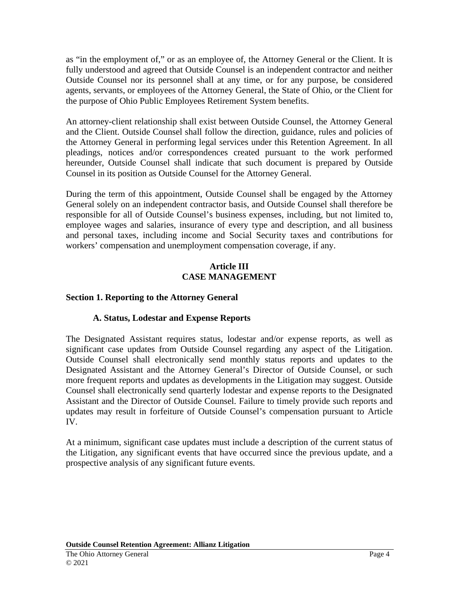as "in the employment of," or as an employee of, the Attorney General or the Client. It is fully understood and agreed that Outside Counsel is an independent contractor and neither Outside Counsel nor its personnel shall at any time, or for any purpose, be considered agents, servants, or employees of the Attorney General, the State of Ohio, or the Client for the purpose of Ohio Public Employees Retirement System benefits.

An attorney-client relationship shall exist between Outside Counsel, the Attorney General and the Client. Outside Counsel shall follow the direction, guidance, rules and policies of the Attorney General in performing legal services under this Retention Agreement. In all pleadings, notices and/or correspondences created pursuant to the work performed hereunder, Outside Counsel shall indicate that such document is prepared by Outside Counsel in its position as Outside Counsel for the Attorney General.

During the term of this appointment, Outside Counsel shall be engaged by the Attorney General solely on an independent contractor basis, and Outside Counsel shall therefore be responsible for all of Outside Counsel's business expenses, including, but not limited to, employee wages and salaries, insurance of every type and description, and all business and personal taxes, including income and Social Security taxes and contributions for workers' compensation and unemployment compensation coverage, if any.

#### **Article III CASE MANAGEMENT**

# **Section 1. Reporting to the Attorney General**

### **A. Status, Lodestar and Expense Reports**

The Designated Assistant requires status, lodestar and/or expense reports, as well as significant case updates from Outside Counsel regarding any aspect of the Litigation. Outside Counsel shall electronically send monthly status reports and updates to the Designated Assistant and the Attorney General's Director of Outside Counsel, or such more frequent reports and updates as developments in the Litigation may suggest. Outside Counsel shall electronically send quarterly lodestar and expense reports to the Designated Assistant and the Director of Outside Counsel. Failure to timely provide such reports and updates may result in forfeiture of Outside Counsel's compensation pursuant to Article IV.

At a minimum, significant case updates must include a description of the current status of the Litigation, any significant events that have occurred since the previous update, and a prospective analysis of any significant future events.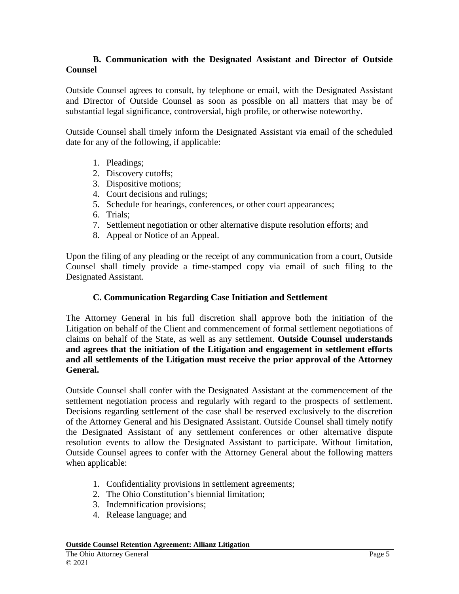#### **B. Communication with the Designated Assistant and Director of Outside Counsel**

Outside Counsel agrees to consult, by telephone or email, with the Designated Assistant and Director of Outside Counsel as soon as possible on all matters that may be of substantial legal significance, controversial, high profile, or otherwise noteworthy.

Outside Counsel shall timely inform the Designated Assistant via email of the scheduled date for any of the following, if applicable:

- 1. Pleadings;
- 2. Discovery cutoffs;
- 3. Dispositive motions;
- 4. Court decisions and rulings;
- 5. Schedule for hearings, conferences, or other court appearances;
- 6. Trials;
- 7. Settlement negotiation or other alternative dispute resolution efforts; and
- 8. Appeal or Notice of an Appeal.

Upon the filing of any pleading or the receipt of any communication from a court, Outside Counsel shall timely provide a time-stamped copy via email of such filing to the Designated Assistant.

#### **C. Communication Regarding Case Initiation and Settlement**

The Attorney General in his full discretion shall approve both the initiation of the Litigation on behalf of the Client and commencement of formal settlement negotiations of claims on behalf of the State, as well as any settlement. **Outside Counsel understands and agrees that the initiation of the Litigation and engagement in settlement efforts and all settlements of the Litigation must receive the prior approval of the Attorney General.**

Outside Counsel shall confer with the Designated Assistant at the commencement of the settlement negotiation process and regularly with regard to the prospects of settlement. Decisions regarding settlement of the case shall be reserved exclusively to the discretion of the Attorney General and his Designated Assistant. Outside Counsel shall timely notify the Designated Assistant of any settlement conferences or other alternative dispute resolution events to allow the Designated Assistant to participate. Without limitation, Outside Counsel agrees to confer with the Attorney General about the following matters when applicable:

- 1. Confidentiality provisions in settlement agreements;
- 2. The Ohio Constitution's biennial limitation;
- 3. Indemnification provisions;
- 4. Release language; and

**Outside Counsel Retention Agreement: Allianz Litigation**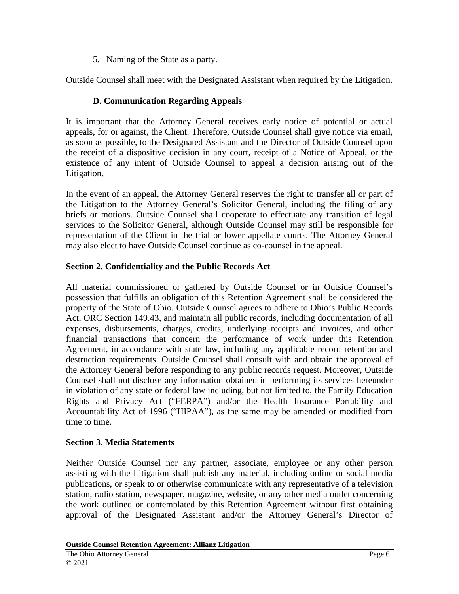5. Naming of the State as a party.

Outside Counsel shall meet with the Designated Assistant when required by the Litigation.

# **D. Communication Regarding Appeals**

It is important that the Attorney General receives early notice of potential or actual appeals, for or against, the Client. Therefore, Outside Counsel shall give notice via email, as soon as possible, to the Designated Assistant and the Director of Outside Counsel upon the receipt of a dispositive decision in any court, receipt of a Notice of Appeal, or the existence of any intent of Outside Counsel to appeal a decision arising out of the Litigation.

In the event of an appeal, the Attorney General reserves the right to transfer all or part of the Litigation to the Attorney General's Solicitor General, including the filing of any briefs or motions. Outside Counsel shall cooperate to effectuate any transition of legal services to the Solicitor General, although Outside Counsel may still be responsible for representation of the Client in the trial or lower appellate courts. The Attorney General may also elect to have Outside Counsel continue as co-counsel in the appeal.

## **Section 2. Confidentiality and the Public Records Act**

All material commissioned or gathered by Outside Counsel or in Outside Counsel's possession that fulfills an obligation of this Retention Agreement shall be considered the property of the State of Ohio. Outside Counsel agrees to adhere to Ohio's Public Records Act, ORC Section 149.43, and maintain all public records, including documentation of all expenses, disbursements, charges, credits, underlying receipts and invoices, and other financial transactions that concern the performance of work under this Retention Agreement, in accordance with state law, including any applicable record retention and destruction requirements. Outside Counsel shall consult with and obtain the approval of the Attorney General before responding to any public records request. Moreover, Outside Counsel shall not disclose any information obtained in performing its services hereunder in violation of any state or federal law including, but not limited to, the Family Education Rights and Privacy Act ("FERPA") and/or the Health Insurance Portability and Accountability Act of 1996 ("HIPAA"), as the same may be amended or modified from time to time.

### **Section 3. Media Statements**

Neither Outside Counsel nor any partner, associate, employee or any other person assisting with the Litigation shall publish any material, including online or social media publications, or speak to or otherwise communicate with any representative of a television station, radio station, newspaper, magazine, website, or any other media outlet concerning the work outlined or contemplated by this Retention Agreement without first obtaining approval of the Designated Assistant and/or the Attorney General's Director of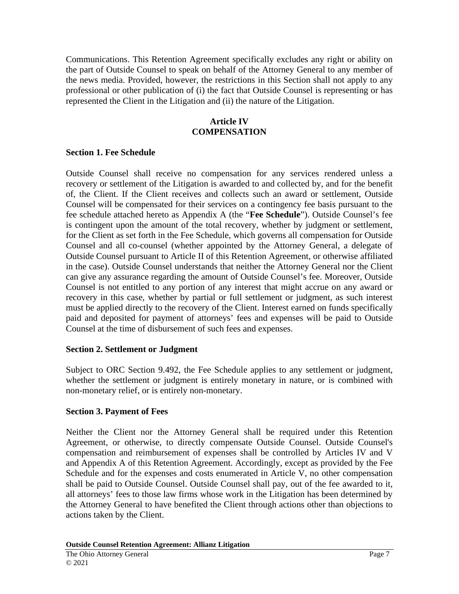Communications. This Retention Agreement specifically excludes any right or ability on the part of Outside Counsel to speak on behalf of the Attorney General to any member of the news media. Provided, however, the restrictions in this Section shall not apply to any professional or other publication of (i) the fact that Outside Counsel is representing or has represented the Client in the Litigation and (ii) the nature of the Litigation.

### **Article IV COMPENSATION**

### **Section 1. Fee Schedule**

Outside Counsel shall receive no compensation for any services rendered unless a recovery or settlement of the Litigation is awarded to and collected by, and for the benefit of, the Client. If the Client receives and collects such an award or settlement, Outside Counsel will be compensated for their services on a contingency fee basis pursuant to the fee schedule attached hereto as Appendix A (the "**Fee Schedule**"). Outside Counsel's fee is contingent upon the amount of the total recovery, whether by judgment or settlement, for the Client as set forth in the Fee Schedule, which governs all compensation for Outside Counsel and all co-counsel (whether appointed by the Attorney General, a delegate of Outside Counsel pursuant to Article II of this Retention Agreement, or otherwise affiliated in the case). Outside Counsel understands that neither the Attorney General nor the Client can give any assurance regarding the amount of Outside Counsel's fee. Moreover, Outside Counsel is not entitled to any portion of any interest that might accrue on any award or recovery in this case, whether by partial or full settlement or judgment, as such interest must be applied directly to the recovery of the Client. Interest earned on funds specifically paid and deposited for payment of attorneys' fees and expenses will be paid to Outside Counsel at the time of disbursement of such fees and expenses.

### **Section 2. Settlement or Judgment**

Subject to ORC Section 9.492, the Fee Schedule applies to any settlement or judgment, whether the settlement or judgment is entirely monetary in nature, or is combined with non-monetary relief, or is entirely non-monetary.

### **Section 3. Payment of Fees**

Neither the Client nor the Attorney General shall be required under this Retention Agreement, or otherwise, to directly compensate Outside Counsel. Outside Counsel's compensation and reimbursement of expenses shall be controlled by Articles IV and V and Appendix A of this Retention Agreement. Accordingly, except as provided by the Fee Schedule and for the expenses and costs enumerated in Article V, no other compensation shall be paid to Outside Counsel. Outside Counsel shall pay, out of the fee awarded to it, all attorneys' fees to those law firms whose work in the Litigation has been determined by the Attorney General to have benefited the Client through actions other than objections to actions taken by the Client.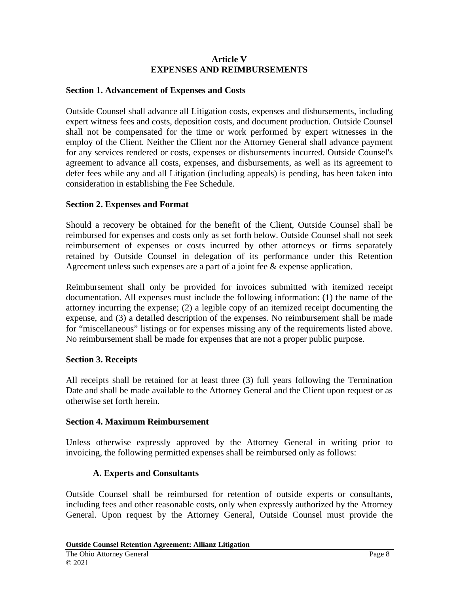#### **Article V EXPENSES AND REIMBURSEMENTS**

#### **Section 1. Advancement of Expenses and Costs**

Outside Counsel shall advance all Litigation costs, expenses and disbursements, including expert witness fees and costs, deposition costs, and document production. Outside Counsel shall not be compensated for the time or work performed by expert witnesses in the employ of the Client. Neither the Client nor the Attorney General shall advance payment for any services rendered or costs, expenses or disbursements incurred. Outside Counsel's agreement to advance all costs, expenses, and disbursements, as well as its agreement to defer fees while any and all Litigation (including appeals) is pending, has been taken into consideration in establishing the Fee Schedule.

#### **Section 2. Expenses and Format**

Should a recovery be obtained for the benefit of the Client, Outside Counsel shall be reimbursed for expenses and costs only as set forth below. Outside Counsel shall not seek reimbursement of expenses or costs incurred by other attorneys or firms separately retained by Outside Counsel in delegation of its performance under this Retention Agreement unless such expenses are a part of a joint fee & expense application.

Reimbursement shall only be provided for invoices submitted with itemized receipt documentation. All expenses must include the following information: (1) the name of the attorney incurring the expense; (2) a legible copy of an itemized receipt documenting the expense, and (3) a detailed description of the expenses. No reimbursement shall be made for "miscellaneous" listings or for expenses missing any of the requirements listed above. No reimbursement shall be made for expenses that are not a proper public purpose.

#### **Section 3. Receipts**

All receipts shall be retained for at least three (3) full years following the Termination Date and shall be made available to the Attorney General and the Client upon request or as otherwise set forth herein.

#### **Section 4. Maximum Reimbursement**

Unless otherwise expressly approved by the Attorney General in writing prior to invoicing, the following permitted expenses shall be reimbursed only as follows:

#### **A. Experts and Consultants**

Outside Counsel shall be reimbursed for retention of outside experts or consultants, including fees and other reasonable costs, only when expressly authorized by the Attorney General. Upon request by the Attorney General, Outside Counsel must provide the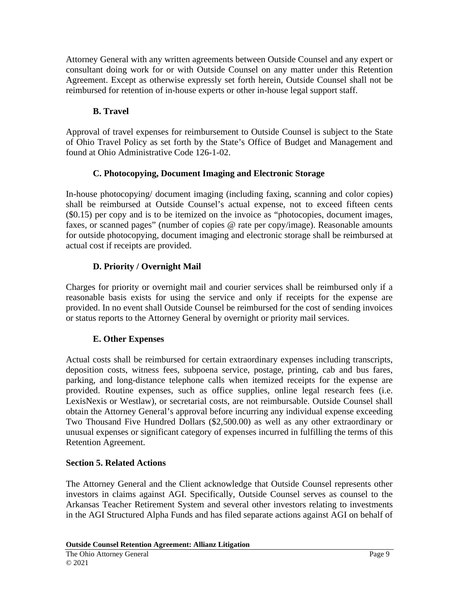Attorney General with any written agreements between Outside Counsel and any expert or consultant doing work for or with Outside Counsel on any matter under this Retention Agreement. Except as otherwise expressly set forth herein, Outside Counsel shall not be reimbursed for retention of in-house experts or other in-house legal support staff.

# **B. Travel**

Approval of travel expenses for reimbursement to Outside Counsel is subject to the State of Ohio Travel Policy as set forth by the State's Office of Budget and Management and found at Ohio Administrative Code 126-1-02.

# **C. Photocopying, Document Imaging and Electronic Storage**

In-house photocopying/ document imaging (including faxing, scanning and color copies) shall be reimbursed at Outside Counsel's actual expense, not to exceed fifteen cents (\$0.15) per copy and is to be itemized on the invoice as "photocopies, document images, faxes, or scanned pages" (number of copies @ rate per copy/image). Reasonable amounts for outside photocopying, document imaging and electronic storage shall be reimbursed at actual cost if receipts are provided.

# **D. Priority / Overnight Mail**

Charges for priority or overnight mail and courier services shall be reimbursed only if a reasonable basis exists for using the service and only if receipts for the expense are provided. In no event shall Outside Counsel be reimbursed for the cost of sending invoices or status reports to the Attorney General by overnight or priority mail services.

# **E. Other Expenses**

Actual costs shall be reimbursed for certain extraordinary expenses including transcripts, deposition costs, witness fees, subpoena service, postage, printing, cab and bus fares, parking, and long-distance telephone calls when itemized receipts for the expense are provided. Routine expenses, such as office supplies, online legal research fees (i.e. LexisNexis or Westlaw), or secretarial costs, are not reimbursable. Outside Counsel shall obtain the Attorney General's approval before incurring any individual expense exceeding Two Thousand Five Hundred Dollars (\$2,500.00) as well as any other extraordinary or unusual expenses or significant category of expenses incurred in fulfilling the terms of this Retention Agreement.

# **Section 5. Related Actions**

The Attorney General and the Client acknowledge that Outside Counsel represents other investors in claims against AGI. Specifically, Outside Counsel serves as counsel to the Arkansas Teacher Retirement System and several other investors relating to investments in the AGI Structured Alpha Funds and has filed separate actions against AGI on behalf of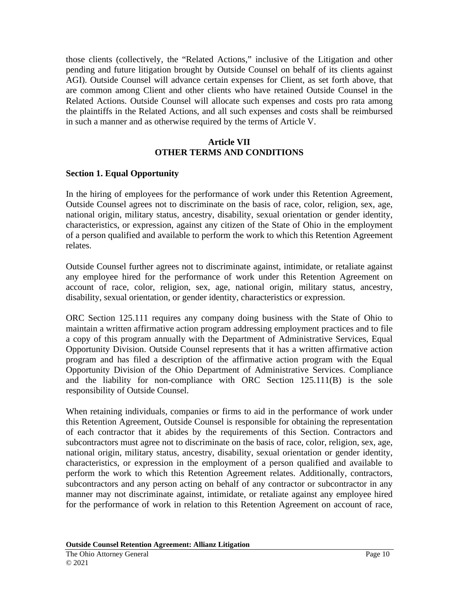those clients (collectively, the "Related Actions," inclusive of the Litigation and other pending and future litigation brought by Outside Counsel on behalf of its clients against AGI). Outside Counsel will advance certain expenses for Client, as set forth above, that are common among Client and other clients who have retained Outside Counsel in the Related Actions. Outside Counsel will allocate such expenses and costs pro rata among the plaintiffs in the Related Actions, and all such expenses and costs shall be reimbursed in such a manner and as otherwise required by the terms of Article V.

### **Article VII OTHER TERMS AND CONDITIONS**

#### **Section 1. Equal Opportunity**

In the hiring of employees for the performance of work under this Retention Agreement, Outside Counsel agrees not to discriminate on the basis of race, color, religion, sex, age, national origin, military status, ancestry, disability, sexual orientation or gender identity, characteristics, or expression, against any citizen of the State of Ohio in the employment of a person qualified and available to perform the work to which this Retention Agreement relates.

Outside Counsel further agrees not to discriminate against, intimidate, or retaliate against any employee hired for the performance of work under this Retention Agreement on account of race, color, religion, sex, age, national origin, military status, ancestry, disability, sexual orientation, or gender identity, characteristics or expression.

ORC Section 125.111 requires any company doing business with the State of Ohio to maintain a written affirmative action program addressing employment practices and to file a copy of this program annually with the Department of Administrative Services, Equal Opportunity Division. Outside Counsel represents that it has a written affirmative action program and has filed a description of the affirmative action program with the Equal Opportunity Division of the Ohio Department of Administrative Services. Compliance and the liability for non-compliance with ORC Section 125.111(B) is the sole responsibility of Outside Counsel.

When retaining individuals, companies or firms to aid in the performance of work under this Retention Agreement, Outside Counsel is responsible for obtaining the representation of each contractor that it abides by the requirements of this Section. Contractors and subcontractors must agree not to discriminate on the basis of race, color, religion, sex, age, national origin, military status, ancestry, disability, sexual orientation or gender identity, characteristics, or expression in the employment of a person qualified and available to perform the work to which this Retention Agreement relates. Additionally, contractors, subcontractors and any person acting on behalf of any contractor or subcontractor in any manner may not discriminate against, intimidate, or retaliate against any employee hired for the performance of work in relation to this Retention Agreement on account of race,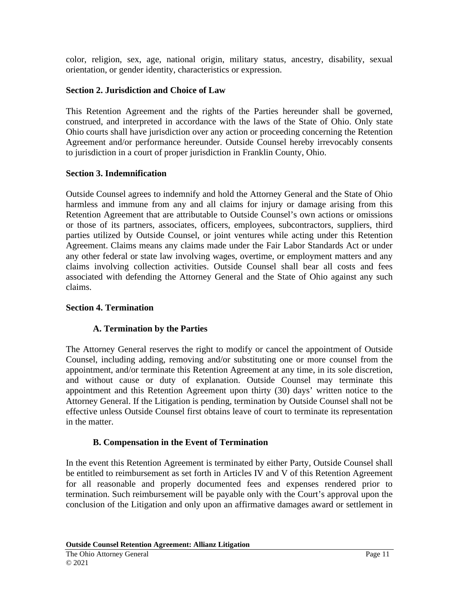color, religion, sex, age, national origin, military status, ancestry, disability, sexual orientation, or gender identity, characteristics or expression.

## **Section 2. Jurisdiction and Choice of Law**

This Retention Agreement and the rights of the Parties hereunder shall be governed, construed, and interpreted in accordance with the laws of the State of Ohio. Only state Ohio courts shall have jurisdiction over any action or proceeding concerning the Retention Agreement and/or performance hereunder. Outside Counsel hereby irrevocably consents to jurisdiction in a court of proper jurisdiction in Franklin County, Ohio.

### **Section 3. Indemnification**

Outside Counsel agrees to indemnify and hold the Attorney General and the State of Ohio harmless and immune from any and all claims for injury or damage arising from this Retention Agreement that are attributable to Outside Counsel's own actions or omissions or those of its partners, associates, officers, employees, subcontractors, suppliers, third parties utilized by Outside Counsel, or joint ventures while acting under this Retention Agreement. Claims means any claims made under the Fair Labor Standards Act or under any other federal or state law involving wages, overtime, or employment matters and any claims involving collection activities. Outside Counsel shall bear all costs and fees associated with defending the Attorney General and the State of Ohio against any such claims.

### **Section 4. Termination**

# **A. Termination by the Parties**

The Attorney General reserves the right to modify or cancel the appointment of Outside Counsel, including adding, removing and/or substituting one or more counsel from the appointment, and/or terminate this Retention Agreement at any time, in its sole discretion, and without cause or duty of explanation. Outside Counsel may terminate this appointment and this Retention Agreement upon thirty (30) days' written notice to the Attorney General. If the Litigation is pending, termination by Outside Counsel shall not be effective unless Outside Counsel first obtains leave of court to terminate its representation in the matter.

# **B. Compensation in the Event of Termination**

In the event this Retention Agreement is terminated by either Party, Outside Counsel shall be entitled to reimbursement as set forth in Articles IV and V of this Retention Agreement for all reasonable and properly documented fees and expenses rendered prior to termination. Such reimbursement will be payable only with the Court's approval upon the conclusion of the Litigation and only upon an affirmative damages award or settlement in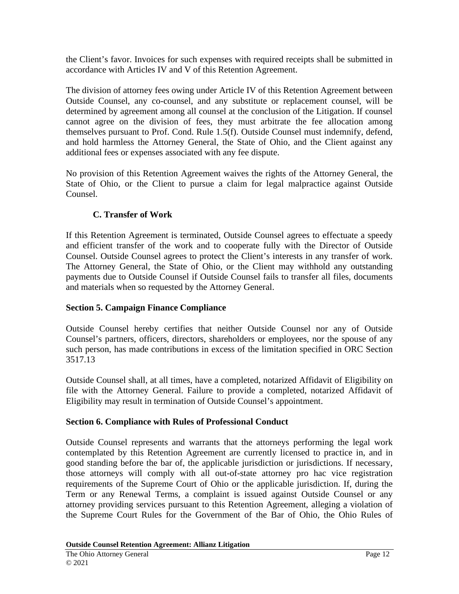the Client's favor. Invoices for such expenses with required receipts shall be submitted in accordance with Articles IV and V of this Retention Agreement.

The division of attorney fees owing under Article IV of this Retention Agreement between Outside Counsel, any co-counsel, and any substitute or replacement counsel, will be determined by agreement among all counsel at the conclusion of the Litigation. If counsel cannot agree on the division of fees, they must arbitrate the fee allocation among themselves pursuant to Prof. Cond. Rule 1.5(f). Outside Counsel must indemnify, defend, and hold harmless the Attorney General, the State of Ohio, and the Client against any additional fees or expenses associated with any fee dispute.

No provision of this Retention Agreement waives the rights of the Attorney General, the State of Ohio, or the Client to pursue a claim for legal malpractice against Outside Counsel.

# **C. Transfer of Work**

If this Retention Agreement is terminated, Outside Counsel agrees to effectuate a speedy and efficient transfer of the work and to cooperate fully with the Director of Outside Counsel. Outside Counsel agrees to protect the Client's interests in any transfer of work. The Attorney General, the State of Ohio, or the Client may withhold any outstanding payments due to Outside Counsel if Outside Counsel fails to transfer all files, documents and materials when so requested by the Attorney General.

# **Section 5. Campaign Finance Compliance**

Outside Counsel hereby certifies that neither Outside Counsel nor any of Outside Counsel's partners, officers, directors, shareholders or employees, nor the spouse of any such person, has made contributions in excess of the limitation specified in ORC Section 3517.13

Outside Counsel shall, at all times, have a completed, notarized Affidavit of Eligibility on file with the Attorney General. Failure to provide a completed, notarized Affidavit of Eligibility may result in termination of Outside Counsel's appointment.

### **Section 6. Compliance with Rules of Professional Conduct**

Outside Counsel represents and warrants that the attorneys performing the legal work contemplated by this Retention Agreement are currently licensed to practice in, and in good standing before the bar of, the applicable jurisdiction or jurisdictions. If necessary, those attorneys will comply with all out-of-state attorney pro hac vice registration requirements of the Supreme Court of Ohio or the applicable jurisdiction. If, during the Term or any Renewal Terms, a complaint is issued against Outside Counsel or any attorney providing services pursuant to this Retention Agreement, alleging a violation of the Supreme Court Rules for the Government of the Bar of Ohio, the Ohio Rules of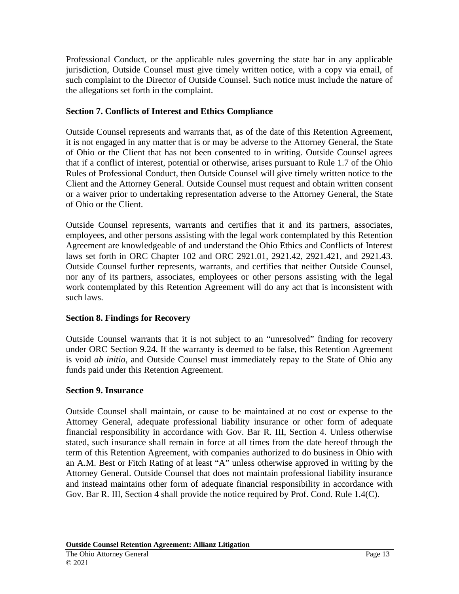Professional Conduct, or the applicable rules governing the state bar in any applicable jurisdiction, Outside Counsel must give timely written notice, with a copy via email, of such complaint to the Director of Outside Counsel. Such notice must include the nature of the allegations set forth in the complaint.

## **Section 7. Conflicts of Interest and Ethics Compliance**

Outside Counsel represents and warrants that, as of the date of this Retention Agreement, it is not engaged in any matter that is or may be adverse to the Attorney General, the State of Ohio or the Client that has not been consented to in writing. Outside Counsel agrees that if a conflict of interest, potential or otherwise, arises pursuant to Rule 1.7 of the Ohio Rules of Professional Conduct, then Outside Counsel will give timely written notice to the Client and the Attorney General. Outside Counsel must request and obtain written consent or a waiver prior to undertaking representation adverse to the Attorney General, the State of Ohio or the Client.

Outside Counsel represents, warrants and certifies that it and its partners, associates, employees, and other persons assisting with the legal work contemplated by this Retention Agreement are knowledgeable of and understand the Ohio Ethics and Conflicts of Interest laws set forth in ORC Chapter 102 and ORC 2921.01, 2921.42, 2921.421, and 2921.43. Outside Counsel further represents, warrants, and certifies that neither Outside Counsel, nor any of its partners, associates, employees or other persons assisting with the legal work contemplated by this Retention Agreement will do any act that is inconsistent with such laws.

# **Section 8. Findings for Recovery**

Outside Counsel warrants that it is not subject to an "unresolved" finding for recovery under ORC Section 9.24. If the warranty is deemed to be false, this Retention Agreement is void *ab initio*, and Outside Counsel must immediately repay to the State of Ohio any funds paid under this Retention Agreement.

### **Section 9. Insurance**

Outside Counsel shall maintain, or cause to be maintained at no cost or expense to the Attorney General, adequate professional liability insurance or other form of adequate financial responsibility in accordance with Gov. Bar R. III, Section 4. Unless otherwise stated, such insurance shall remain in force at all times from the date hereof through the term of this Retention Agreement, with companies authorized to do business in Ohio with an A.M. Best or Fitch Rating of at least "A" unless otherwise approved in writing by the Attorney General. Outside Counsel that does not maintain professional liability insurance and instead maintains other form of adequate financial responsibility in accordance with Gov. Bar R. III, Section 4 shall provide the notice required by Prof. Cond. Rule 1.4(C).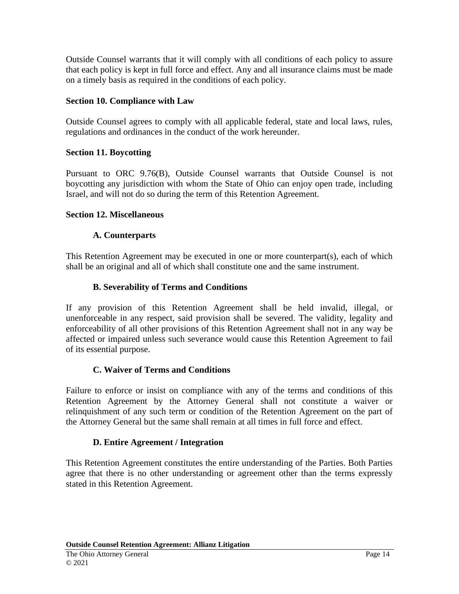Outside Counsel warrants that it will comply with all conditions of each policy to assure that each policy is kept in full force and effect. Any and all insurance claims must be made on a timely basis as required in the conditions of each policy.

## **Section 10. Compliance with Law**

Outside Counsel agrees to comply with all applicable federal, state and local laws, rules, regulations and ordinances in the conduct of the work hereunder.

## **Section 11. Boycotting**

Pursuant to ORC 9.76(B), Outside Counsel warrants that Outside Counsel is not boycotting any jurisdiction with whom the State of Ohio can enjoy open trade, including Israel, and will not do so during the term of this Retention Agreement.

### **Section 12. Miscellaneous**

## **A. Counterparts**

This Retention Agreement may be executed in one or more counterpart(s), each of which shall be an original and all of which shall constitute one and the same instrument.

## **B. Severability of Terms and Conditions**

If any provision of this Retention Agreement shall be held invalid, illegal, or unenforceable in any respect, said provision shall be severed. The validity, legality and enforceability of all other provisions of this Retention Agreement shall not in any way be affected or impaired unless such severance would cause this Retention Agreement to fail of its essential purpose.

### **C. Waiver of Terms and Conditions**

Failure to enforce or insist on compliance with any of the terms and conditions of this Retention Agreement by the Attorney General shall not constitute a waiver or relinquishment of any such term or condition of the Retention Agreement on the part of the Attorney General but the same shall remain at all times in full force and effect.

### **D. Entire Agreement / Integration**

This Retention Agreement constitutes the entire understanding of the Parties. Both Parties agree that there is no other understanding or agreement other than the terms expressly stated in this Retention Agreement.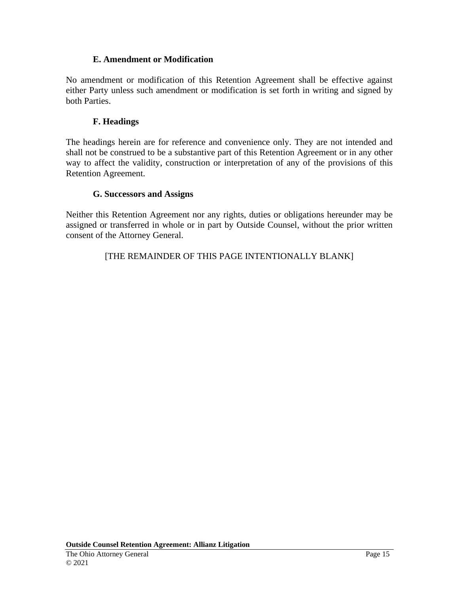## **E. Amendment or Modification**

No amendment or modification of this Retention Agreement shall be effective against either Party unless such amendment or modification is set forth in writing and signed by both Parties.

## **F. Headings**

The headings herein are for reference and convenience only. They are not intended and shall not be construed to be a substantive part of this Retention Agreement or in any other way to affect the validity, construction or interpretation of any of the provisions of this Retention Agreement.

## **G. Successors and Assigns**

Neither this Retention Agreement nor any rights, duties or obligations hereunder may be assigned or transferred in whole or in part by Outside Counsel, without the prior written consent of the Attorney General.

# [THE REMAINDER OF THIS PAGE INTENTIONALLY BLANK]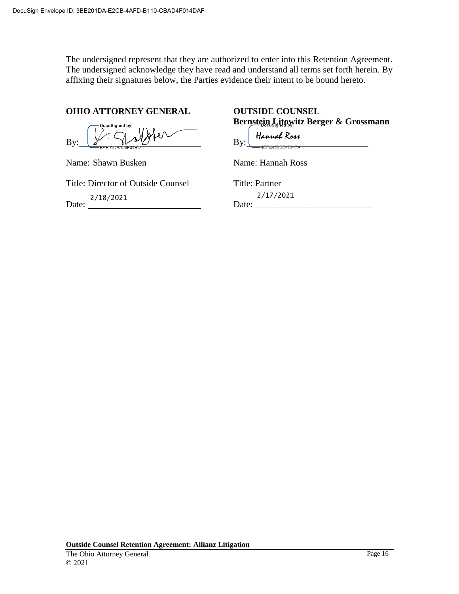The undersigned represent that they are authorized to enter into this Retention Agreement. The undersigned acknowledge they have read and understand all terms set forth herein. By affixing their signatures below, the Parties evidence their intent to be bound hereto.

#### **OHIO ATTORNEY GENERAL OUTSIDE COUNSEL**

DocuSigned by: By:

Name: Shawn Busken

Title: Director of Outside Counsel

Date:

**Bernstein Litowitz Berger & Grossmann**

Hannah Ross 7AMMAL KOU<br>-4EF9A5BBE47947A... By:

Name: Hannah Ross

Title: Partner Date: \_\_\_\_\_\_\_\_\_\_\_\_\_\_\_\_\_\_\_\_\_\_\_\_\_\_ 2/17/2021 2/18/2021